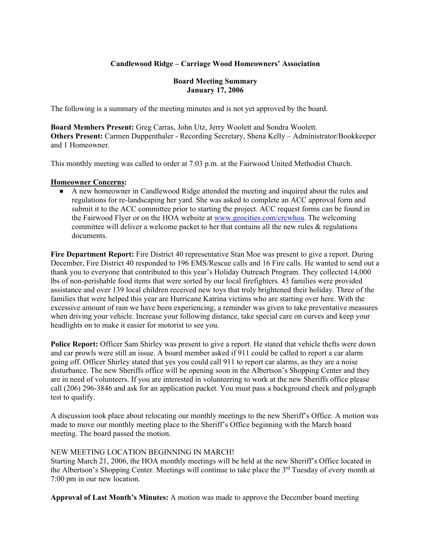# **Candlewood Ridge – Carriage Wood Homeowners' Association**

### **Board Meeting Summary January 17, 2006**

The following is a summary of the meeting minutes and is not yet approved by the board.

**Board Members Present:** Greg Carras, John Utz, Jerry Woolett and Sondra Woolett. **Others Present:** Carmen Duppenthaler - Recording Secretary, Shena Kelly – Administrator/Bookkeeper and 1 Homeowner.

This monthly meeting was called to order at 7:03 p.m. at the Fairwood United Methodist Church.

#### **Homeowner Concerns:**

● A new homeowner in Candlewood Ridge attended the meeting and inquired about the rules and regulations for re-landscaping her yard. She was asked to complete an ACC approval form and submit it to the ACC committee prior to starting the project. ACC request forms can be found in the Fairwood Flyer or on the HOA website at www.geocities.com/crcwhoa. The welcoming committee will deliver a welcome packet to her that contains all the new rules  $\&$  regulations documents.

**Fire Department Report:** Fire District 40 representative Stan Moe was present to give a report. During December, Fire District 40 responded to 196 EMS/Rescue calls and 16 Fire calls. He wanted to send out a thank you to everyone that contributed to this year's Holiday Outreach Program. They collected 14,000 lbs of non-perishable food items that were sorted by our local firefighters. 43 families were provided assistance and over 139 local children received new toys that truly brightened their holiday. Three of the families that were helped this year are Hurricane Katrina victims who are starting over here. With the excessive amount of rain we have been experiencing, a reminder was given to take preventative measures when driving your vehicle. Increase your following distance, take special care on curves and keep your headlights on to make it easier for motorist to see you.

**Police Report:** Officer Sam Shirley was present to give a report. He stated that vehicle thefts were down and car prowls were still an issue. A board member asked if 911 could be called to report a car alarm going off. Officer Shirley stated that yes you could call 911 to report car alarms, as they are a noise disturbance. The new Sheriffs office will be opening soon in the Albertson's Shopping Center and they are in need of volunteers. If you are interested in volunteering to work at the new Sheriffs office please call (206) 296-3846 and ask for an application packet. You must pass a background check and polygraph test to qualify.

A discussion took place about relocating our monthly meetings to the new Sheriff's Office. A motion was made to move our monthly meeting place to the Sheriff's Office beginning with the March board meeting. The board passed the motion.

#### NEW MEETING LOCATION BEGINNING IN MARCH!

Starting March 21, 2006, the HOA monthly meetings will be held at the new Sheriff's Office located in the Albertson's Shopping Center. Meetings will continue to take place the 3<sup>rd</sup> Tuesday of every month at 7:00 pm in our new location.

**Approval of Last Month's Minutes:** A motion was made to approve the December board meeting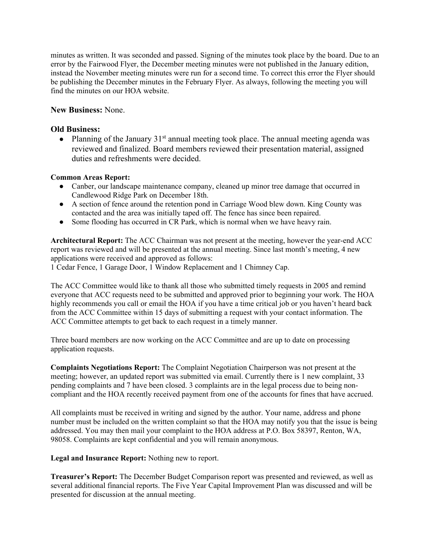minutes as written. It was seconded and passed. Signing of the minutes took place by the board. Due to an error by the Fairwood Flyer, the December meeting minutes were not published in the January edition, instead the November meeting minutes were run for a second time. To correct this error the Flyer should be publishing the December minutes in the February Flyer. As always, following the meeting you will find the minutes on our HOA website.

## **New Business:** None.

## **Old Business:**

• Planning of the January  $31<sup>st</sup>$  annual meeting took place. The annual meeting agenda was reviewed and finalized. Board members reviewed their presentation material, assigned duties and refreshments were decided.

#### **Common Areas Report:**

- Canber, our landscape maintenance company, cleaned up minor tree damage that occurred in Candlewood Ridge Park on December 18th.
- A section of fence around the retention pond in Carriage Wood blew down. King County was contacted and the area was initially taped off. The fence has since been repaired.
- Some flooding has occurred in CR Park, which is normal when we have heavy rain.

**Architectural Report:** The ACC Chairman was not present at the meeting, however the year-end ACC report was reviewed and will be presented at the annual meeting. Since last month's meeting, 4 new applications were received and approved as follows:

1 Cedar Fence, 1 Garage Door, 1 Window Replacement and 1 Chimney Cap.

The ACC Committee would like to thank all those who submitted timely requests in 2005 and remind everyone that ACC requests need to be submitted and approved prior to beginning your work. The HOA highly recommends you call or email the HOA if you have a time critical job or you haven't heard back from the ACC Committee within 15 days of submitting a request with your contact information. The ACC Committee attempts to get back to each request in a timely manner.

Three board members are now working on the ACC Committee and are up to date on processing application requests.

**Complaints Negotiations Report:** The Complaint Negotiation Chairperson was not present at the meeting; however, an updated report was submitted via email. Currently there is 1 new complaint, 33 pending complaints and 7 have been closed. 3 complaints are in the legal process due to being noncompliant and the HOA recently received payment from one of the accounts for fines that have accrued.

All complaints must be received in writing and signed by the author. Your name, address and phone number must be included on the written complaint so that the HOA may notify you that the issue is being addressed. You may then mail your complaint to the HOA address at P.O. Box 58397, Renton, WA, 98058. Complaints are kept confidential and you will remain anonymous.

**Legal and Insurance Report:** Nothing new to report.

**Treasurer's Report:** The December Budget Comparison report was presented and reviewed, as well as several additional financial reports. The Five Year Capital Improvement Plan was discussed and will be presented for discussion at the annual meeting.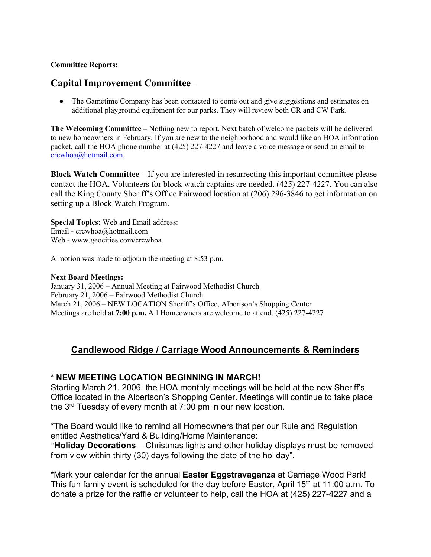## **Committee Reports:**

# **Capital Improvement Committee –**

• The Gametime Company has been contacted to come out and give suggestions and estimates on additional playground equipment for our parks. They will review both CR and CW Park.

**The Welcoming Committee** – Nothing new to report. Next batch of welcome packets will be delivered to new homeowners in February. If you are new to the neighborhood and would like an HOA information packet, call the HOA phone number at (425) 227-4227 and leave a voice message or send an email to crcwhoa@hotmail.com.

**Block Watch Committee** – If you are interested in resurrecting this important committee please contact the HOA. Volunteers for block watch captains are needed. (425) 227-4227. You can also call the King County Sheriff's Office Fairwood location at (206) 296-3846 to get information on setting up a Block Watch Program.

**Special Topics:** Web and Email address: Email - crcwhoa@hotmail.com Web - www.geocities.com/crcwhoa

A motion was made to adjourn the meeting at 8:53 p.m.

#### **Next Board Meetings:**

January 31, 2006 – Annual Meeting at Fairwood Methodist Church February 21, 2006 – Fairwood Methodist Church March 21, 2006 – NEW LOCATION Sheriff's Office, Albertson's Shopping Center Meetings are held at **7:00 p.m.** All Homeowners are welcome to attend. (425) 227-4227

# **Candlewood Ridge / Carriage Wood Announcements & Reminders**

# \* **NEW MEETING LOCATION BEGINNING IN MARCH!**

Starting March 21, 2006, the HOA monthly meetings will be held at the new Sheriff's Office located in the Albertson's Shopping Center. Meetings will continue to take place the 3rd Tuesday of every month at 7:00 pm in our new location.

\*The Board would like to remind all Homeowners that per our Rule and Regulation entitled Aesthetics/Yard & Building/Home Maintenance:

"**Holiday Decorations** – Christmas lights and other holiday displays must be removed from view within thirty (30) days following the date of the holiday".

\*Mark your calendar for the annual **Easter Eggstravaganza** at Carriage Wood Park! This fun family event is scheduled for the day before Easter, April  $15<sup>th</sup>$  at 11:00 a.m. To donate a prize for the raffle or volunteer to help, call the HOA at (425) 227-4227 and a